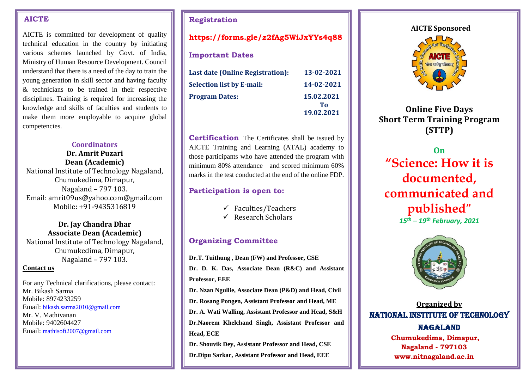#### **AICTE**

AICTE is committed for development of quality technical education in the country by initiating various schemes launched by Govt. of India, Ministry of Human Resource Development. Council understand that there is a need of the day to train the young generation in skill sector and having faculty & technicians to be trained in their respective disciplines. Training is required for increasing the knowledge and skills of faculties and students to make them more employable to acquire global competencies.

## **Coordinators**

**Dr. Amrit Puzari Dean (Academic)** National Institute of Technology Nagaland, Chumukedima, Dimapur, Nagaland – 797 103. Email: amrit09us@yahoo.com@gmail.com Mobile: +91-9435316819

### **Dr. Jay Chandra Dhar Associate Dean (Academic)**

National Institute of Technology Nagaland, Chumukedima, Dimapur, Nagaland – 797 103.

#### **Contact us**

For any Technical clarifications, please contact: Mr. Bikash Sarma Mobile: 8974233259 Email: bikash.sarma2010@gmail.com Mr. V. Mathivanan Mobile: 9402604427 Email: mathisoft2007@gmail.com

## **Registration**

# **<https://forms.gle/z2fAg5WiJxYYs4q88>**

## **Important Dates**

| <b>Last date (Online Registration):</b> | 13-02-2021       |
|-----------------------------------------|------------------|
| <b>Selection list by E-mail:</b>        | 14-02-2021       |
| <b>Program Dates:</b>                   | 15.02.2021<br>Тο |
|                                         | 19.02.2021       |

**Certification** The Certificates shall be issued by AICTE Training and Learning (ATAL) academy to those participants who have attended the program with minimum 80% attendance and scored minimum 60% marks in the test conducted at the end of the online FDP.

# **Participation is open to:**

- $\checkmark$  Faculties/Teachers
- $\checkmark$  Research Scholars

# **Organizing Committee**

**Dr.T. Tuithung , Dean (FW) and Professor, CSE**

**Dr. D. K. Das, Associate Dean (R&C) and Assistant Professor, EEE**

**Dr. Nzan Ngullie, Associate Dean (P&D) and Head, Civil**

**Dr. Rosang Pongen, Assistant Professor and Head, ME**

**Dr. A. Wati Walling, Assistant Professor and Head, S&H**

**Dr.Naorem Khelchand Singh, Assistant Professor and Head, ECE**

**Dr. Shouvik Dey, Assistant Professor and Head, CSE Dr.Dipu Sarkar, Assistant Professor and Head, EEE**

#### **AICTE Sponsored**



**Online Five Days Short Term Training Program (STTP)**

**On "Science: How it is documented, communicated and published"** *15th – 19th February, 2021*



**Organized by** NATIONAL INSTITUTE OF TECHNOLOGY NAGALAND **Chumukedima, Dimapur,** 

**Nagaland - 797103 www.nitnagaland.ac.in**